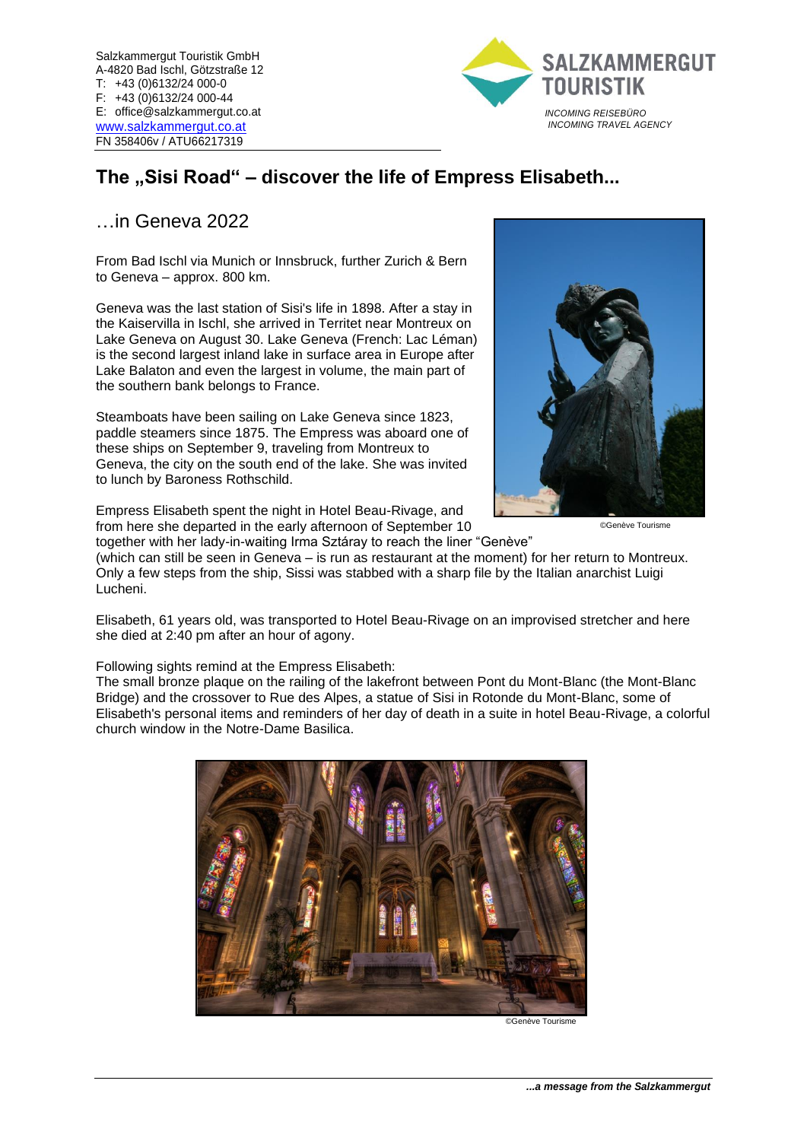

# The "Sisi Road" – discover the life of Empress Elisabeth...

# …in Geneva 2022

From Bad Ischl via Munich or Innsbruck, further Zurich & Bern to Geneva – approx. 800 km.

Geneva was the last station of Sisi's life in 1898. After a stay in the Kaiservilla in Ischl, she arrived in Territet near Montreux on Lake Geneva on August 30. Lake Geneva (French: Lac Léman) is the second largest inland lake in surface area in Europe after Lake Balaton and even the largest in volume, the main part of the southern bank belongs to France.

Steamboats have been sailing on Lake Geneva since 1823, paddle steamers since 1875. The Empress was aboard one of these ships on September 9, traveling from Montreux to Geneva, the city on the south end of the lake. She was invited to lunch by Baroness Rothschild.

Empress Elisabeth spent the night in Hotel Beau-Rivage, and from here she departed in the early afternoon of September 10

together with her lady-in-waiting Irma Sztáray to reach the liner "Genève"



©Genève Tourisme

(which can still be seen in Geneva – is run as restaurant at the moment) for her return to Montreux. Only a few steps from the ship, Sissi was stabbed with a sharp file by the Italian anarchist Luigi Lucheni.

Elisabeth, 61 years old, was transported to Hotel Beau-Rivage on an improvised stretcher and here she died at 2:40 pm after an hour of agony.

Following sights remind at the Empress Elisabeth:

The small bronze plaque on the railing of the lakefront between Pont du Mont-Blanc (the Mont-Blanc Bridge) and the crossover to Rue des Alpes, a statue of Sisi in Rotonde du Mont-Blanc, some of Elisabeth's personal items and reminders of her day of death in a suite in hotel Beau-Rivage, a colorful church window in the Notre-Dame Basilica.



©Genève Tourisme